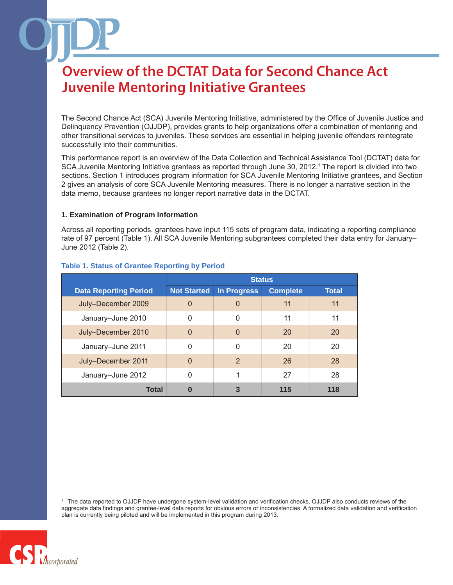The Second Chance Act (SCA) Juvenile Mentoring Initiative, administered by the Office of Juvenile Justice and Delinquency Prevention (OJJDP), provides grants to help organizations offer a combination of mentoring and other transitional services to juveniles. These services are essential in helping juvenile offenders reintegrate successfully into their communities.

This performance report is an overview of the Data Collection and Technical Assistance Tool (DCTAT) data for SCA Juvenile Mentoring Initiative grantees as reported through June 30, 2012.<sup>1</sup> The report is divided into two sections. Section 1 introduces program information for SCA Juvenile Mentoring Initiative grantees, and Section 2 gives an analysis of core SCA Juvenile Mentoring measures. There is no longer a narrative section in the data memo, because grantees no longer report narrative data in the DCTAT.

#### **1. Examination of Program Information**

Across all reporting periods, grantees have input 115 sets of program data, indicating a reporting compliance rate of 97 percent (Table 1). All SCA Juvenile Mentoring subgrantees completed their data entry for January– June 2012 (Table 2).

|                              | <b>Status</b>      |                    |                 |              |
|------------------------------|--------------------|--------------------|-----------------|--------------|
| <b>Data Reporting Period</b> | <b>Not Started</b> | <b>In Progress</b> | <b>Complete</b> | <b>Total</b> |
| July-December 2009           | $\mathbf 0$        | $\overline{0}$     | 11              | 11           |
| January-June 2010            | 0                  | $\Omega$           | 11              | 11           |
| July-December 2010           | $\Omega$           | $\Omega$           | <b>20</b>       | 20           |
| January-June 2011            | 0                  | $\Omega$           | 20              | 20           |
| July-December 2011           | $\overline{0}$     | $\overline{2}$     | 26              | 28           |
| January-June 2012            | 0                  | 1                  | 27              | 28           |
| Total                        | 0                  | 3                  | 115             | 118          |

#### **Table 1. Status of Grantee Reporting by Period**

<sup>1</sup> The data reported to OJJDP have undergone system-level validation and verification checks. OJJDP also conducts reviews of the aggregate data findings and grantee-level data reports for obvious errors or inconsistencies. A formalized data validation and verification plan is currently being piloted and will be implemented in this program during 2013.

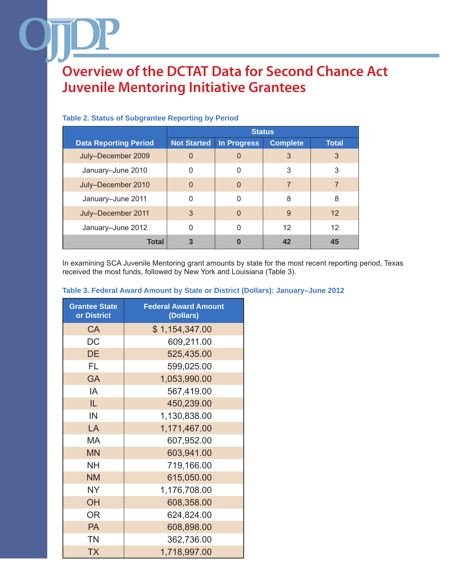|                              | <b>Status</b>      |                    |                 |              |
|------------------------------|--------------------|--------------------|-----------------|--------------|
| <b>Data Reporting Period</b> | <b>Not Started</b> | <b>In Progress</b> | <b>Complete</b> | <b>Total</b> |
| July-December 2009           | $\overline{0}$     | $\mathbf{0}$       | 3               | 3            |
| January-June 2010            | 0                  | 0                  | 3               | 3            |
| July-December 2010           | 0                  | 0                  |                 |              |
| January-June 2011            | 0                  | $\Omega$           | 8               | 8            |
| July-December 2011           | 3                  | $\Omega$           | 9               | 12           |
| January-June 2012            | 0                  | $\Omega$           | 12              | 12           |
| <b>Total</b>                 | 3                  | 0                  | 42              | 45           |

#### **Table 2. Status of Subgrantee Reporting by Period**

In examining SCA Juvenile Mentoring grant amounts by state for the most recent reporting period, Texas received the most funds, followed by New York and Louisiana (Table 3).

| <b>Grantee State</b><br>or District | <b>Federal Award Amount</b><br>(Dollars) |  |  |
|-------------------------------------|------------------------------------------|--|--|
| CA                                  | \$1,154,347.00                           |  |  |
| <b>DC</b>                           | 609,211.00                               |  |  |
| <b>DE</b>                           | 525,435.00                               |  |  |
| FL                                  | 599,025.00                               |  |  |
| <b>GA</b>                           | 1,053,990.00                             |  |  |
| IA                                  | 567,419.00                               |  |  |
| IL                                  | 450,239.00                               |  |  |
| IN                                  | 1,130,838.00                             |  |  |
| LA                                  | 1,171,467.00                             |  |  |
| MA                                  | 607,952.00                               |  |  |
| <b>MN</b>                           | 603,941.00                               |  |  |
| <b>NH</b>                           | 719,166.00                               |  |  |
| <b>NM</b>                           | 615,050.00                               |  |  |
| <b>NY</b>                           | 1,176,708.00                             |  |  |
| OH                                  | 608,358.00                               |  |  |
| <b>OR</b>                           | 624,824.00                               |  |  |
| <b>PA</b>                           | 608,898.00                               |  |  |
| <b>TN</b>                           | 362,736.00                               |  |  |
| <b>TX</b>                           | 1,718,997.00                             |  |  |

### **Table 3. Federal Award Amount by State or District (Dollars): January–June 2012**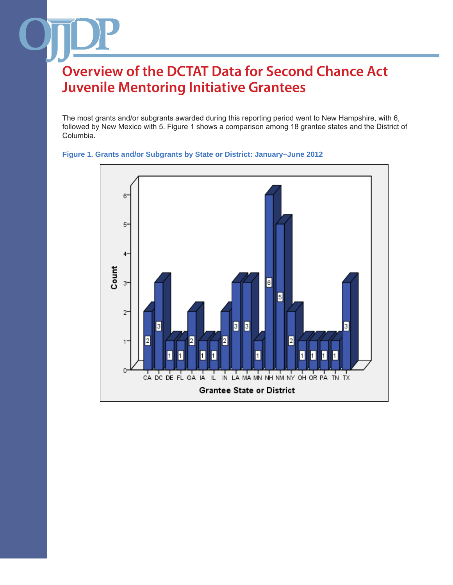The most grants and/or subgrants awarded during this reporting period went to New Hampshire, with 6, followed by New Mexico with 5. Figure 1 shows a comparison among 18 grantee states and the District of Columbia.



#### **Figure 1. Grants and/or Subgrants by State or District: January–June 2012**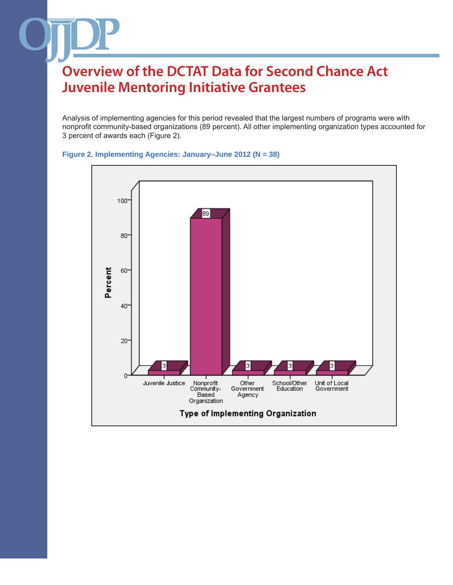Analysis of implementing agencies for this period revealed that the largest numbers of programs were with nonprofit community-based organizations (89 percent). All other implementing organization types accounted for 3 percent of awards each (Figure 2).



**Figure 2. Implementing Agencies: January–June 2012 (N = 38)**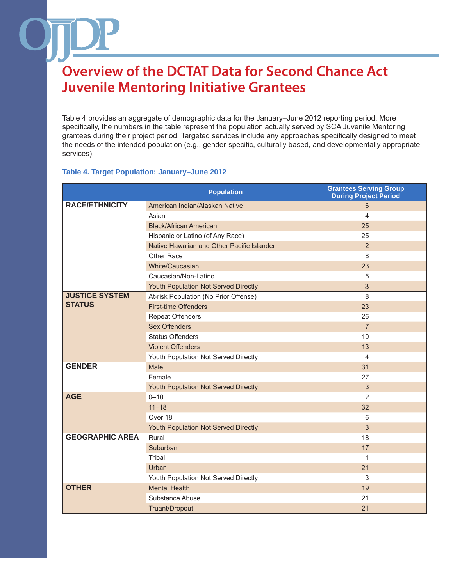Table 4 provides an aggregate of demographic data for the January–June 2012 reporting period. More specifically, the numbers in the table represent the population actually served by SCA Juvenile Mentoring grantees during their project period. Targeted services include any approaches specifically designed to meet the needs of the intended population (e.g., gender-specific, culturally based, and developmentally appropriate services).

#### **Table 4. Target Population: January–June 2012**

|                        | <b>Population</b>                          | <b>Grantees Serving Group</b><br><b>During Project Period</b> |
|------------------------|--------------------------------------------|---------------------------------------------------------------|
| <b>RACE/ETHNICITY</b>  | American Indian/Alaskan Native             | 6                                                             |
|                        | Asian                                      | $\overline{\mathbf{A}}$                                       |
|                        | <b>Black/African American</b>              | 25                                                            |
|                        | Hispanic or Latino (of Any Race)           | 25                                                            |
|                        | Native Hawaiian and Other Pacific Islander | $\overline{2}$                                                |
|                        | Other Race                                 | 8                                                             |
|                        | White/Caucasian                            | 23                                                            |
|                        | Caucasian/Non-Latino                       | 5                                                             |
|                        | Youth Population Not Served Directly       | 3                                                             |
| <b>JUSTICE SYSTEM</b>  | At-risk Population (No Prior Offense)      | 8                                                             |
| <b>STATUS</b>          | <b>First-time Offenders</b>                | 23                                                            |
|                        | <b>Repeat Offenders</b>                    | 26                                                            |
|                        | <b>Sex Offenders</b>                       | $\overline{7}$                                                |
|                        | <b>Status Offenders</b>                    | 10                                                            |
|                        | <b>Violent Offenders</b>                   | 13                                                            |
|                        | Youth Population Not Served Directly       | 4                                                             |
| <b>GENDER</b>          | Male                                       | 31                                                            |
|                        | Female                                     | 27                                                            |
|                        | Youth Population Not Served Directly       | 3                                                             |
| <b>AGE</b>             | $0 - 10$                                   | $\overline{2}$                                                |
|                        | $11 - 18$                                  | 32                                                            |
|                        | Over 18                                    | 6                                                             |
|                        | Youth Population Not Served Directly       | 3                                                             |
| <b>GEOGRAPHIC AREA</b> | Rural                                      | 18                                                            |
|                        | Suburban                                   | 17                                                            |
|                        | Tribal                                     | 1                                                             |
|                        | Urban                                      | 21                                                            |
|                        | Youth Population Not Served Directly       | 3                                                             |
| <b>OTHER</b>           | <b>Mental Health</b>                       | 19                                                            |
|                        | Substance Abuse                            | 21                                                            |
|                        | Truant/Dropout                             | 21                                                            |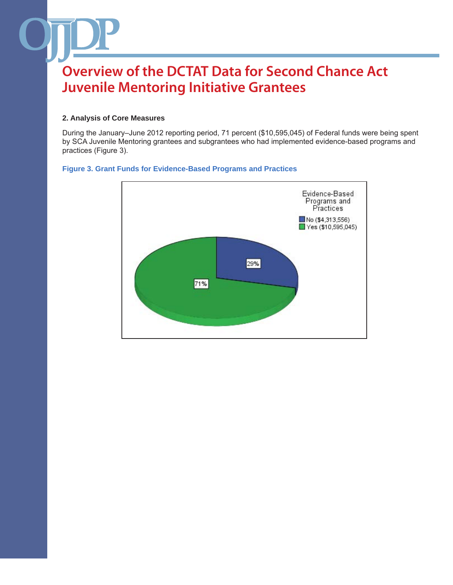#### **2. Analysis of Core Measures**

During the January–June 2012 reporting period, 71 percent (\$10,595,045) of Federal funds were being spent by SCA Juvenile Mentoring grantees and subgrantees who had implemented evidence-based programs and practices (Figure 3).

#### **Figure 3. Grant Funds for Evidence-Based Programs and Practices**

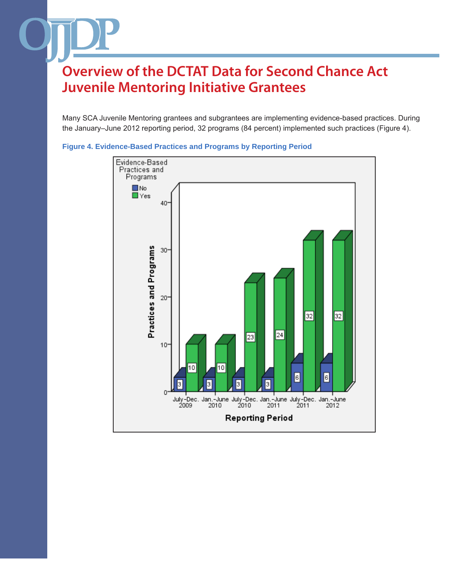Many SCA Juvenile Mentoring grantees and subgrantees are implementing evidence-based practices. During the January–June 2012 reporting period, 32 programs (84 percent) implemented such practices (Figure 4).



#### **Figure 4. Evidence-Based Practices and Programs by Reporting Period**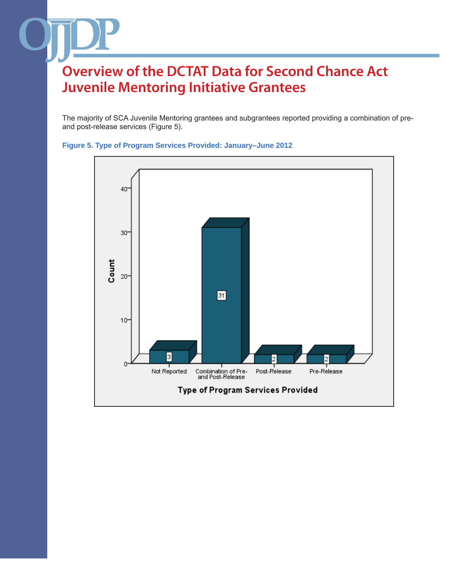The majority of SCA Juvenile Mentoring grantees and subgrantees reported providing a combination of preand post-release services (Figure 5).



**Figure 5. Type of Program Services Provided: January–June 2012**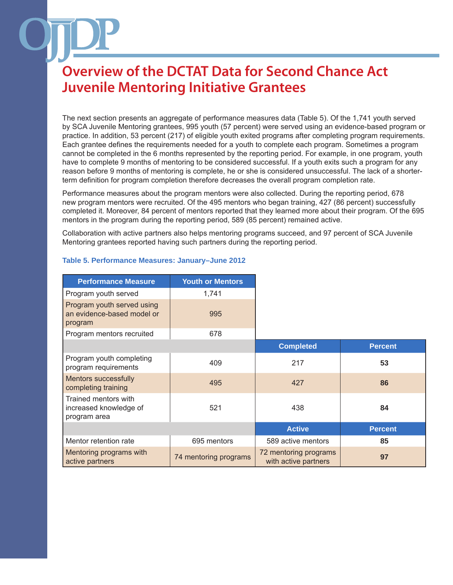The next section presents an aggregate of performance measures data (Table 5). Of the 1,741 youth served by SCA Juvenile Mentoring grantees, 995 youth (57 percent) were served using an evidence-based program or practice. In addition, 53 percent (217) of eligible youth exited programs after completing program requirements. Each grantee defines the requirements needed for a youth to complete each program. Sometimes a program cannot be completed in the 6 months represented by the reporting period. For example, in one program, youth have to complete 9 months of mentoring to be considered successful. If a youth exits such a program for any reason before 9 months of mentoring is complete, he or she is considered unsuccessful. The lack of a shorterterm definition for program completion therefore decreases the overall program completion rate.

Performance measures about the program mentors were also collected. During the reporting period, 678 new program mentors were recruited. Of the 495 mentors who began training, 427 (86 percent) successfully completed it. Moreover, 84 percent of mentors reported that they learned more about their program. Of the 695 mentors in the program during the reporting period, 589 (85 percent) remained active.

Collaboration with active partners also helps mentoring programs succeed, and 97 percent of SCA Juvenile Mentoring grantees reported having such partners during the reporting period.

| <b>Performance Measure</b>                                          | <b>Youth or Mentors</b> |                                               |                |
|---------------------------------------------------------------------|-------------------------|-----------------------------------------------|----------------|
| Program youth served                                                | 1,741                   |                                               |                |
| Program youth served using<br>an evidence-based model or<br>program | 995                     |                                               |                |
| Program mentors recruited                                           | 678                     |                                               |                |
|                                                                     |                         | <b>Completed</b>                              | <b>Percent</b> |
| Program youth completing<br>program requirements                    | 409                     | 217                                           |                |
| <b>Mentors successfully</b><br>completing training                  | 495                     | 427                                           |                |
| Trained mentors with<br>increased knowledge of<br>program area      | 521                     | 438                                           |                |
|                                                                     |                         | <b>Active</b>                                 | <b>Percent</b> |
| Mentor retention rate                                               | 695 mentors             | 589 active mentors                            |                |
| Mentoring programs with<br>active partners                          | 74 mentoring programs   | 72 mentoring programs<br>with active partners |                |

#### **Table 5. Performance Measures: January–June 2012**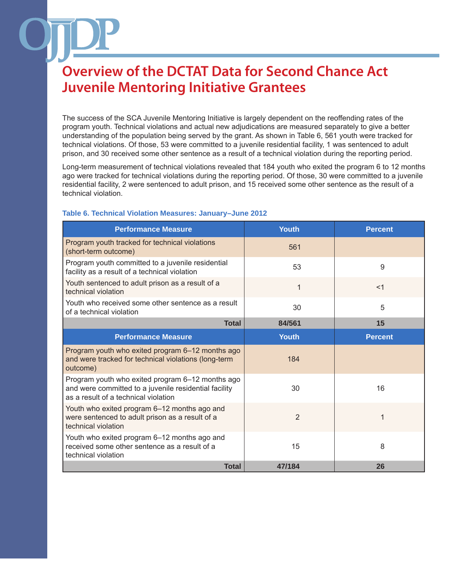The success of the SCA Juvenile Mentoring Initiative is largely dependent on the reoffending rates of the program youth. Technical violations and actual new adjudications are measured separately to give a better understanding of the population being served by the grant. As shown in Table 6, 561 youth were tracked for technical violations. Of those, 53 were committed to a juvenile residential facility, 1 was sentenced to adult prison, and 30 received some other sentence as a result of a technical violation during the reporting period.

Long-term measurement of technical violations revealed that 184 youth who exited the program 6 to 12 months ago were tracked for technical violations during the reporting period. Of those, 30 were committed to a juvenile residential facility, 2 were sentenced to adult prison, and 15 received some other sentence as the result of a technical violation.

| <b>Performance Measure</b>                                                                                                                        | <b>Youth</b>   | <b>Percent</b> |
|---------------------------------------------------------------------------------------------------------------------------------------------------|----------------|----------------|
| Program youth tracked for technical violations<br>(short-term outcome)                                                                            | 561            |                |
| Program youth committed to a juvenile residential<br>facility as a result of a technical violation                                                | 53             | 9              |
| Youth sentenced to adult prison as a result of a<br>technical violation                                                                           | $\mathbf{1}$   | $<$ 1          |
| Youth who received some other sentence as a result<br>of a technical violation                                                                    | 30             | 5              |
| <b>Total</b>                                                                                                                                      | 84/561         | 15             |
| <b>Performance Measure</b>                                                                                                                        | <b>Youth</b>   | <b>Percent</b> |
| Program youth who exited program 6-12 months ago<br>and were tracked for technical violations (long-term<br>outcome)                              | 184            |                |
| Program youth who exited program 6–12 months ago<br>and were committed to a juvenile residential facility<br>as a result of a technical violation | 30             | 16             |
| Youth who exited program 6-12 months ago and<br>were sentenced to adult prison as a result of a<br>technical violation                            | $\overline{2}$ | 1              |
| Youth who exited program 6–12 months ago and<br>received some other sentence as a result of a<br>technical violation                              | 15             | 8              |
| <b>Total</b>                                                                                                                                      | 47/184         | 26             |

#### **Table 6. Technical Violation Measures: January–June 2012**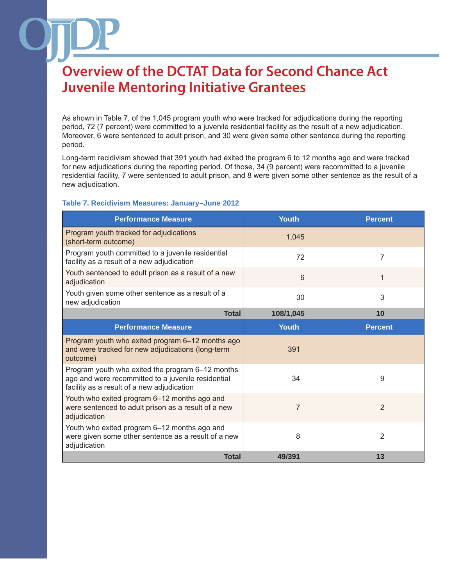As shown in Table 7, of the 1,045 program youth who were tracked for adjudications during the reporting period, 72 (7 percent) were committed to a juvenile residential facility as the result of a new adjudication. Moreover, 6 were sentenced to adult prison, and 30 were given some other sentence during the reporting period.

Long-term recidivism showed that 391 youth had exited the program 6 to 12 months ago and were tracked for new adjudications during the reporting period. Of those, 34 (9 percent) were recommitted to a juvenile residential facility, 7 were sentenced to adult prison, and 8 were given some other sentence as the result of a new adjudication.

#### **Table 7. Recidivism Measures: January–June 2012**

| <b>Performance Measure</b>                                                                                                                           | <b>Youth</b>   | <b>Percent</b> |
|------------------------------------------------------------------------------------------------------------------------------------------------------|----------------|----------------|
| Program youth tracked for adjudications<br>(short-term outcome)                                                                                      | 1,045          |                |
| Program youth committed to a juvenile residential<br>facility as a result of a new adjudication                                                      | 72             | 7              |
| Youth sentenced to adult prison as a result of a new<br>adjudication                                                                                 | 6              | 1              |
| Youth given some other sentence as a result of a<br>new adjudication                                                                                 | 30             | 3              |
| <b>Total</b>                                                                                                                                         | 108/1,045      | 10             |
| <b>Performance Measure</b>                                                                                                                           | <b>Youth</b>   | <b>Percent</b> |
| Program youth who exited program 6–12 months ago<br>and were tracked for new adjudications (long-term<br>outcome)                                    | 391            |                |
| Program youth who exited the program 6-12 months<br>ago and were recommitted to a juvenile residential<br>facility as a result of a new adjudication | 34             | 9              |
| Youth who exited program 6-12 months ago and<br>were sentenced to adult prison as a result of a new<br>adjudication                                  | $\overline{7}$ | 2              |
| Youth who exited program 6-12 months ago and<br>were given some other sentence as a result of a new<br>adjudication                                  | 8              | 2              |
| <b>Total</b>                                                                                                                                         | 49/391         | 13             |